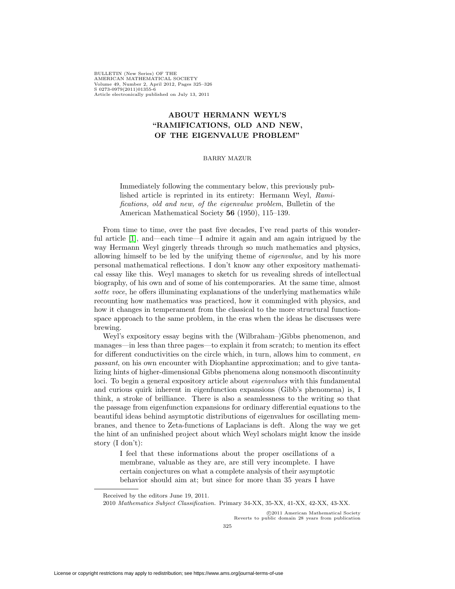BULLETIN (New Series) OF THE AMERICAN MATHEMATICAL SOCIETY Volume 49, Number 2, April 2012, Pages 325–326 S 0273-0979(2011)01355-6 Article electronically published on July 13, 2011

## **ABOUT HERMANN WEYL'S "RAMIFICATIONS, OLD AND NEW, OF THE EIGENVALUE PROBLEM"**

## BARRY MAZUR

Immediately following the commentary below, this previously published article is reprinted in its entirety: Hermann Weyl, Ramifications, old and new, of the eigenvalue problem, Bulletin of the American Mathematical Society **56** (1950), 115–139.

From time to time, over the past five decades, I've read parts of this wonderful article [\[1\]](#page-1-0), and—each time—I admire it again and am again intrigued by the way Hermann Weyl gingerly threads through so much mathematics and physics, allowing himself to be led by the unifying theme of eigenvalue, and by his more personal mathematical reflections. I don't know any other expository mathematical essay like this. Weyl manages to sketch for us revealing shreds of intellectual biography, of his own and of some of his contemporaries. At the same time, almost sotte voce, he offers illuminating explanations of the underlying mathematics while recounting how mathematics was practiced, how it commingled with physics, and how it changes in temperament from the classical to the more structural functionspace approach to the same problem, in the eras when the ideas he discusses were brewing.

Weyl's expository essay begins with the (Wilbraham–)Gibbs phenomenon, and manages—in less than three pages—to explain it from scratch; to mention its effect for different conductivities on the circle which, in turn, allows him to comment, en passant, on his own encounter with Diophantine approximation; and to give tantalizing hints of higher-dimensional Gibbs phenomena along nonsmooth discontinuity loci. To begin a general expository article about *eigenvalues* with this fundamental and curious quirk inherent in eigenfunction expansions (Gibb's phenomena) is, I think, a stroke of brilliance. There is also a seamlessness to the writing so that the passage from eigenfunction expansions for ordinary differential equations to the beautiful ideas behind asymptotic distributions of eigenvalues for oscillating membranes, and thence to Zeta-functions of Laplacians is deft. Along the way we get the hint of an unfinished project about which Weyl scholars might know the inside story (I don't):

I feel that these informations about the proper oscillations of a membrane, valuable as they are, are still very incomplete. I have certain conjectures on what a complete analysis of their asymptotic behavior should aim at; but since for more than 35 years I have

-c 2011 American Mathematical Society Reverts to public domain 28 years from publication

Received by the editors June 19, 2011.

<sup>2010</sup> Mathematics Subject Classification. Primary 34-XX, 35-XX, 41-XX, 42-XX, 43-XX.